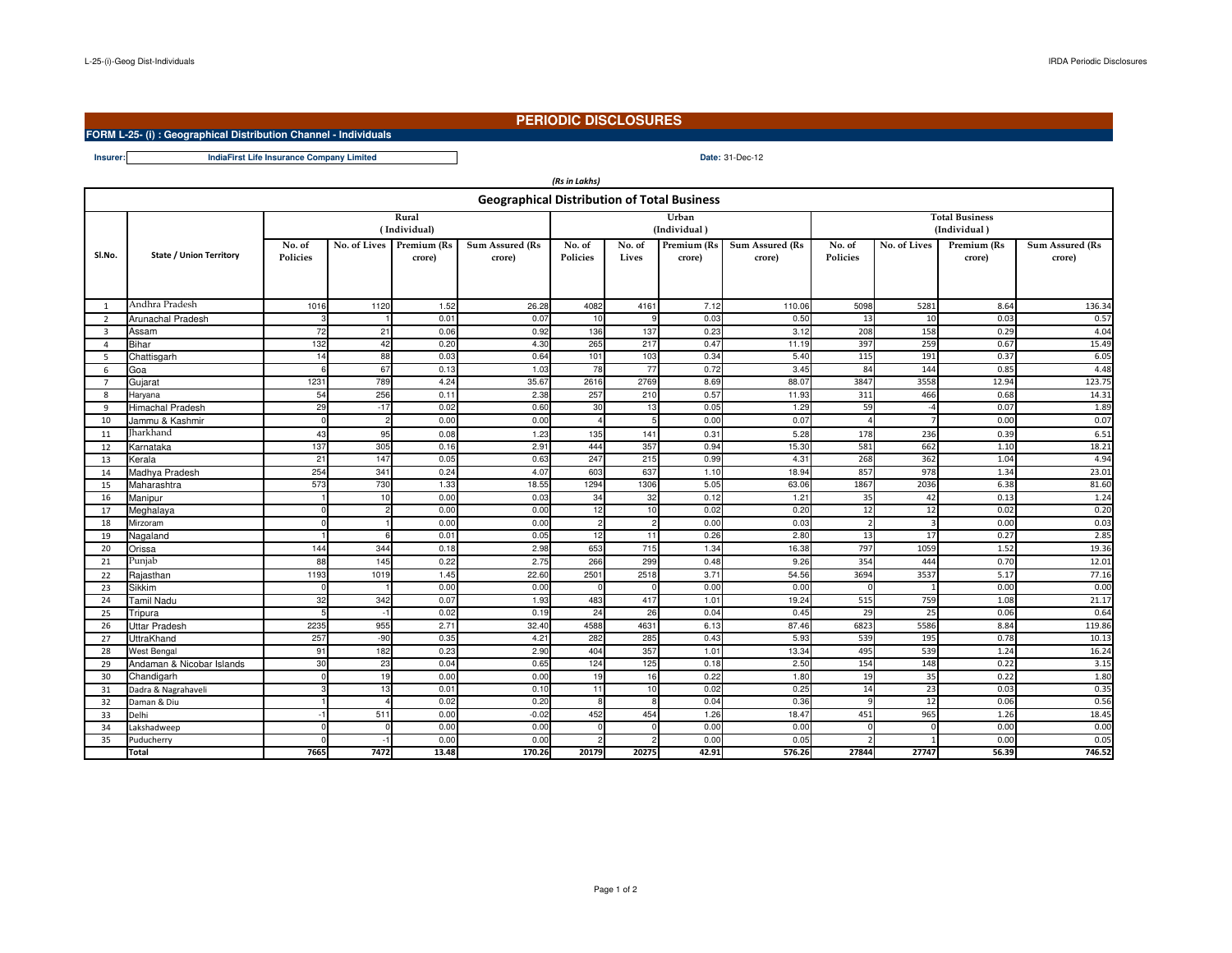**Insurer:**

# **PERIODIC DISCLOSURES**

## **FORM L-25- (i) : Geographical Distribution Channel - Individuals**

### **Date:** 31-Dec-12**IndiaFirst Life Insurance Company Limited**

| (Rs in Lakhs)                                      |                           |                           |              |                       |                                  |                    |                 |                       |                                  |                           |              |                       |                           |  |
|----------------------------------------------------|---------------------------|---------------------------|--------------|-----------------------|----------------------------------|--------------------|-----------------|-----------------------|----------------------------------|---------------------------|--------------|-----------------------|---------------------------|--|
| <b>Geographical Distribution of Total Business</b> |                           |                           |              |                       |                                  |                    |                 |                       |                                  |                           |              |                       |                           |  |
|                                                    |                           |                           |              | Rural                 |                                  |                    |                 | Urban                 |                                  | <b>Total Business</b>     |              |                       |                           |  |
|                                                    |                           |                           |              | (Individual)          |                                  |                    |                 | (Individual)          |                                  | (Individual)              |              |                       |                           |  |
| SI.No.                                             | State / Union Territory   | No. of<br><b>Policies</b> | No. of Lives | Premium (Rs<br>crore) | <b>Sum Assured (Rs</b><br>crore) | No. of<br>Policies | No. of<br>Lives | Premium (Rs<br>crore) | <b>Sum Assured (Rs</b><br>crore) | No. of<br><b>Policies</b> | No. of Lives | Premium (Rs<br>crore) | Sum Assured (Rs<br>crore) |  |
| 1                                                  | Andhra Pradesh            | 1016                      | 1120         | 1.52                  | 26.28                            | 4082               | 4161            | 7.12                  | 110.06                           | 5098                      | 5281         | 8.64                  | 136.34                    |  |
| 2                                                  | Arunachal Pradesh         |                           |              | 0.01                  | 0.07                             | 10                 |                 | 0.03                  | 0.50                             | 13                        | 10           | 0.03                  | 0.57                      |  |
| $\overline{\mathbf{3}}$                            | Assam                     | 72                        | 21           | 0.06                  | 0.92                             | 136                | 137             | 0.23                  | 3.12                             | 208                       | 158          | 0.29                  | 4.04                      |  |
| $\overline{4}$                                     | Bihar                     | 132                       | 42           | 0.20                  | 4.30                             | 265                | 217             | 0.47                  | 11.19                            | 397                       | 259          | 0.67                  | 15.49                     |  |
| 5                                                  | Chattisgarh               | 14                        | 88           | 0.03                  | 0.64                             | 101                | 103             | 0.34                  | 5.40                             | 115                       | 191          | 0.37                  | 6.05                      |  |
| 6                                                  | Goa                       | 6                         | 67           | 0.13                  | 1.03                             | 78                 | 77              | 0.72                  | 3.45                             | 84                        | 144          | 0.85                  | 4.48                      |  |
| $\overline{7}$                                     | Gujarat                   | 1231                      | 789          | 4.24                  | 35.67                            | 2616               | 2769            | 8.69                  | 88.07                            | 3847                      | 3558         | 12.94                 | 123.75                    |  |
| 8                                                  | Haryana                   | 54                        | 256          | 0.11                  | 2.38                             | 257                | 210             | 0.57                  | 11.93                            | 311                       | 466          | 0.68                  | 14.31                     |  |
| 9                                                  | <b>Himachal Pradesh</b>   | 29                        | $-17$        | 0.02                  | 0.60                             | 30                 | 13              | 0.05                  | 1.29                             | 59                        | $-4$         | 0.07                  | 1.89                      |  |
| 10                                                 | Jammu & Kashmir           | $\Omega$                  |              | 0.00                  | 0.00                             | $\overline{a}$     |                 | 0.00                  | 0.07                             | Δ                         |              | 0.00                  | 0.07                      |  |
| 11                                                 | Iharkhand                 | 43                        | 95           | 0.08                  | 1.23                             | 135                | 141             | 0.31                  | 5.28                             | 178                       | 236          | 0.39                  | 6.51                      |  |
| 12                                                 | Karnataka                 | 137                       | 305          | 0.16                  | 2.91                             | 444                | 357             | 0.94                  | 15.30                            | 581                       | 662          | 1.10                  | 18.21                     |  |
| 13                                                 | Kerala                    | 21                        | 147          | 0.05                  | 0.63                             | 247                | 215             | 0.99                  | 4.31                             | 268                       | 362          | 1.04                  | 4.94                      |  |
| 14                                                 | Madhva Pradesh            | 254                       | 341          | 0.24                  | 4.07                             | 603                | 637             | 1.10                  | 18.94                            | 857                       | 978          | 1.34                  | 23.01                     |  |
| 15                                                 | Maharashtra               | 573                       | 730          | 1.33                  | 18.55                            | 1294               | 1306            | 5.05                  | 63.06                            | 1867                      | 2036         | 6.38                  | 81.60                     |  |
| 16                                                 | Manipur                   |                           | -10          | 0.00                  | 0.03                             | 34                 | 32              | 0.12                  | 1.21                             | 35                        | 42           | 0.13                  | 1.24                      |  |
| 17                                                 | Meghalaya                 |                           |              | 0.00                  | 0.00                             | 12                 | 10              | 0.02                  | 0.20                             | 12                        | 12           | 0.02                  | 0.20                      |  |
| 18                                                 | <b>Mirzoram</b>           |                           |              | 0.00                  | 0.00                             | $\overline{2}$     |                 | 0.00                  | 0.03                             |                           |              | 0.00                  | 0.03                      |  |
| 19                                                 | Nagaland                  |                           |              | 0.01                  | 0.05                             | 12                 | 11              | 0.26                  | 2.80                             | 13                        | 17           | 0.27                  | 2.85                      |  |
| 20                                                 | Orissa                    | 144                       | 344          | 0.18                  | 2.98                             | 653                | 715             | 1.34                  | 16.38                            | 797                       | 1059         | 1.52                  | 19.36                     |  |
| 21                                                 | Punjab                    | 88                        | 145          | 0.22                  | 2.75                             | 266                | 299             | 0.48                  | 9.26                             | 354                       | 444          | 0.70                  | 12.01                     |  |
| 22                                                 | Rajasthan                 | 1193                      | 1019         | 1.45                  | 22.60                            | 2501               | 2518            | 3.71                  | 54.56                            | 3694                      | 3537         | 5.17                  | 77.16                     |  |
| 23                                                 | Sikkim                    |                           |              | 0.00                  | 0.00                             |                    |                 | 0.00                  | 0.00                             |                           |              | 0.00                  | 0.00                      |  |
| 24                                                 | Tamil Nadu                | 32                        | 342          | 0.07                  | 1.93                             | 483                | 417             | 1.01                  | 19.24                            | 515                       | 759          | 1.08                  | 21.17                     |  |
| 25                                                 | Tripura                   |                           |              | 0.02                  | 0.19                             | 24                 | 26              | 0.04                  | 0.45                             | 29                        | 25           | 0.06                  | 0.64                      |  |
| 26                                                 | Uttar Pradesh             | 2235                      | 955          | 2.71                  | 32.40                            | 4588               | 4631            | 6.13                  | 87.46                            | 6823                      | 5586         | 8.84                  | 119.86                    |  |
| 27                                                 | <b>UttraKhand</b>         | 257                       | $-90$        | 0.35                  | 4.21                             | 282                | 285             | 0.43                  | 5.93                             | 539                       | 195          | 0.78                  | 10.13                     |  |
| 28                                                 | <b>West Bengal</b>        | 91                        | 182          | 0.23                  | 2.90                             | 404                | 357             | 1.01                  | 13.34                            | 495                       | 539          | 1.24                  | 16.24                     |  |
| 29                                                 | Andaman & Nicobar Islands | 30                        | 23           | 0.04                  | 0.65                             | 124                | 125             | 0.18                  | 2.50                             | 154                       | 148          | 0.22                  | 3.15                      |  |
| 30                                                 | Chandigarh                |                           | 19           | 0.00                  | 0.00                             | 19                 | 16              | 0.22                  | 1.80                             | 19                        | 35           | 0.22                  | 1.80                      |  |
| 31                                                 | Dadra & Nagrahaveli       |                           | 13           | 0.01                  | 0.10                             | 11                 | 10              | 0.02                  | 0.25                             | 14                        | 23           | 0.03                  | 0.35                      |  |
| 32                                                 | Daman & Diu               |                           |              | 0.02                  | 0.20                             | 8                  |                 | 0.04                  | 0.36                             |                           | 12           | 0.06                  | 0.56                      |  |
| 33                                                 | Delhi                     | $-1$                      | 511          | 0.00                  | $-0.02$                          | 452                | 454             | 1.26                  | 18.47                            | 451                       | 965          | 1.26                  | 18.45                     |  |
| 34                                                 | Lakshadweep               |                           |              | 0.00                  | 0.00                             |                    |                 | 0.00                  | 0.00                             |                           | $\Omega$     | 0.00                  | 0.00                      |  |
| 35                                                 | Puducherry                |                           |              | 0.00                  | 0.00                             |                    |                 | 0.00                  | 0.05                             |                           |              | 0.00                  | 0.05                      |  |
|                                                    | Total                     | 7665                      | 7472         | 13.48                 | 170.26                           | 20179              | 20275           | 42.91                 | 576.26                           | 27844                     | 27747        | 56.39                 | 746.52                    |  |